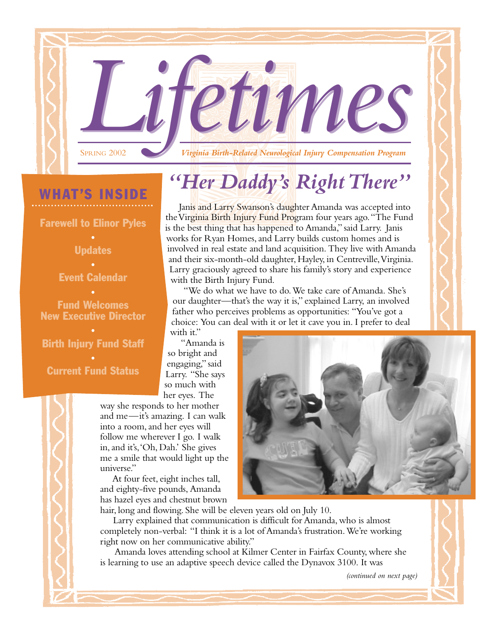**LIFEUVING 2002** 

## WHAT'S INSIDE

Farewell to Elinor Pyles

• Updates

• Event Calendar

Fund Welcomes New Executive Director

•

#### • Birth Injury Fund Staff

• Current Fund Status

# *"Her Daddy's Right There"*

Janis and Larry Swanson's daughter Amanda was accepted into the Virginia Birth Injury Fund Program four years ago."The Fund is the best thing that has happened to Amanda," said Larry. Janis works for Ryan Homes, and Larry builds custom homes and is involved in real estate and land acquisition. They live with Amanda and their six-month-old daughter, Hayley, in Centreville,Virginia. Larry graciously agreed to share his family's story and experience with the Birth Injury Fund.

"We do what we have to do.We take care of Amanda. She's our daughter—that's the way it is," explained Larry, an involved father who perceives problems as opportunities: "You've got a choice: You can deal with it or let it cave you in. I prefer to deal

with it."

"Amanda is so bright and engaging," said Larry. "She says so much with her eyes. The

way she responds to her mother and me—it's amazing. I can walk into a room, and her eyes will follow me wherever I go. I walk in, and it's,'Oh, Dah.' She gives me a smile that would light up the universe."

At four feet, eight inches tall, and eighty-five pounds, Amanda has hazel eyes and chestnut brown

hair, long and flowing. She will be eleven years old on July 10.

Larry explained that communication is difficult for Amanda, who is almost completely non-verbal: "I think it is a lot of Amanda's frustration.We're working right now on her communicative ability."

Amanda loves attending school at Kilmer Center in Fairfax County, where she is learning to use an adaptive speech device called the Dynavox 3100. It was

*(continued on next page)*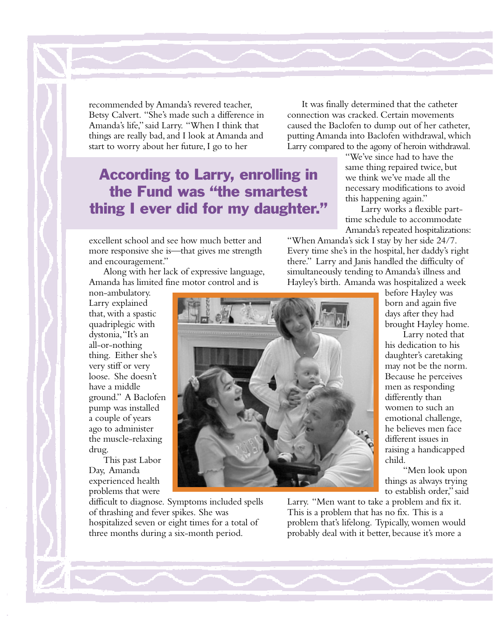recommended by Amanda's revered teacher, Betsy Calvert. "She's made such a difference in Amanda's life," said Larry. "When I think that things are really bad, and I look at Amanda and start to worry about her future, I go to her

### According to Larry, enrolling in the Fund was "the smartest thing I ever did for my daughter."

excellent school and see how much better and more responsive she is—that gives me strength and encouragement."

Along with her lack of expressive language, Amanda has limited fine motor control and is

non-ambulatory. Larry explained that, with a spastic quadriplegic with dystonia,"It's an all-or-nothing thing. Either she's very stiff or very loose. She doesn't have a middle ground." A Baclofen pump was installed a couple of years ago to administer the muscle-relaxing drug.

This past Labor Day, Amanda experienced health problems that were

difficult to diagnose. Symptoms included spells of thrashing and fever spikes. She was hospitalized seven or eight times for a total of three months during a six-month period.

It was finally determined that the catheter connection was cracked. Certain movements caused the Baclofen to dump out of her catheter, putting Amanda into Baclofen withdrawal, which Larry compared to the agony of heroin withdrawal.

> "We've since had to have the same thing repaired twice, but we think we've made all the necessary modifications to avoid this happening again."

Larry works a flexible parttime schedule to accommodate Amanda's repeated hospitalizations:

"When Amanda's sick I stay by her side 24/7. Every time she's in the hospital, her daddy's right there." Larry and Janis handled the difficulty of simultaneously tending to Amanda's illness and Hayley's birth. Amanda was hospitalized a week

before Hayley was born and again five days after they had brought Hayley home.

Larry noted that his dedication to his daughter's caretaking may not be the norm. Because he perceives men as responding differently than women to such an emotional challenge, he believes men face different issues in raising a handicapped child.

"Men look upon things as always trying to establish order," said

Larry. "Men want to take a problem and fix it. This is a problem that has no fix. This is a problem that's lifelong. Typically, women would probably deal with it better, because it's more a

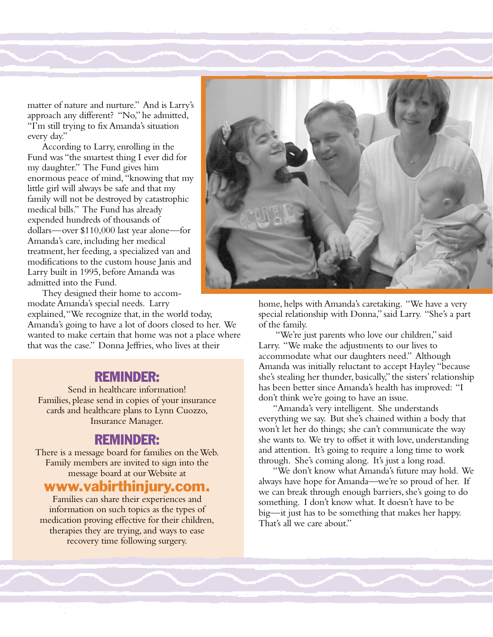matter of nature and nurture." And is Larry's approach any different? "No," he admitted, "I'm still trying to fix Amanda's situation every day."

According to Larry, enrolling in the Fund was "the smartest thing I ever did for my daughter." The Fund gives him enormous peace of mind, "knowing that my little girl will always be safe and that my family will not be destroyed by catastrophic medical bills." The Fund has already expended hundreds of thousands of dollars—over \$110,000 last year alone—for Amanda's care, including her medical treatment, her feeding, a specialized van and modifications to the custom house Janis and Larry built in 1995, before Amanda was admitted into the Fund.

They designed their home to accommodate Amanda's special needs. Larry

explained,"We recognize that, in the world today, Amanda's going to have a lot of doors closed to her. We wanted to make certain that home was not a place where that was the case." Donna Jeffries, who lives at their

### REMINDER:

Send in healthcare information! Families, please send in copies of your insurance cards and healthcare plans to Lynn Cuozzo, Insurance Manager.

#### REMINDER:

There is a message board for families on the Web. Family members are invited to sign into the message board at our Website at

### www.vabirthinjury.com.

Families can share their experiences and information on such topics as the types of medication proving effective for their children, therapies they are trying, and ways to ease recovery time following surgery.



home, helps with Amanda's caretaking. "We have a very special relationship with Donna," said Larry. "She's a part of the family.

"We're just parents who love our children," said Larry. "We make the adjustments to our lives to accommodate what our daughters need." Although Amanda was initially reluctant to accept Hayley "because she's stealing her thunder, basically," the sisters' relationship has been better since Amanda's health has improved: "I don't think we're going to have an issue.

"Amanda's very intelligent. She understands everything we say. But she's chained within a body that won't let her do things; she can't communicate the way she wants to. We try to offset it with love, understanding and attention. It's going to require a long time to work through. She's coming along. It's just a long road.

"We don't know what Amanda's future may hold. We always have hope for Amanda—we're so proud of her. If we can break through enough barriers, she's going to do something. I don't know what. It doesn't have to be big—it just has to be something that makes her happy. That's all we care about"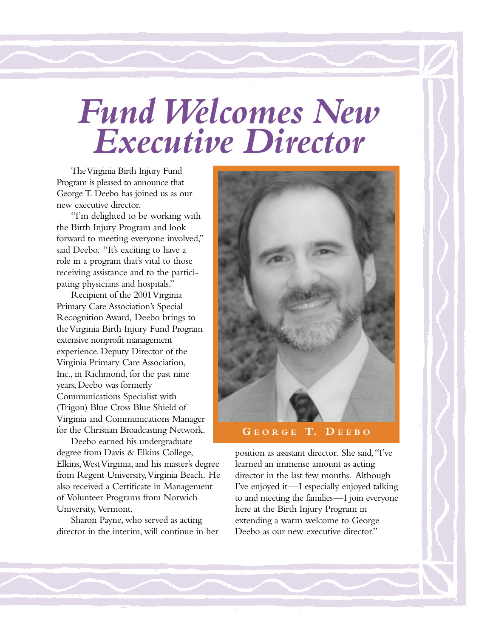# *Fund Welcomes New Executive Director*

The Virginia Birth Injury Fund Program is pleased to announce that George T. Deebo has joined us as our new executive director.

"I'm delighted to be working with the Birth Injury Program and look forward to meeting everyone involved," said Deebo. "It's exciting to have a role in a program that's vital to those receiving assistance and to the participating physicians and hospitals."

Recipient of the 2001 Virginia Primary Care Association's Special Recognition Award, Deebo brings to the Virginia Birth Injury Fund Program extensive nonprofit management experience. Deputy Director of the Virginia Primary Care Association, Inc., in Richmond, for the past nine years, Deebo was formerly Communications Specialist with (Trigon) Blue Cross Blue Shield of Virginia and Communications Manager for the Christian Broadcasting Network.

Deebo earned his undergraduate degree from Davis & Elkins College, Elkins,West Virginia, and his master's degree from Regent University,Virginia Beach. He also received a Certificate in Management of Volunteer Programs from Norwich University, Vermont.

Sharon Payne, who served as acting director in the interim, will continue in her



position as assistant director. She said,"I've learned an immense amount as acting director in the last few months. Although I've enjoyed it—I especially enjoyed talking to and meeting the families—I join everyone here at the Birth Injury Program in extending a warm welcome to George Deebo as our new executive director."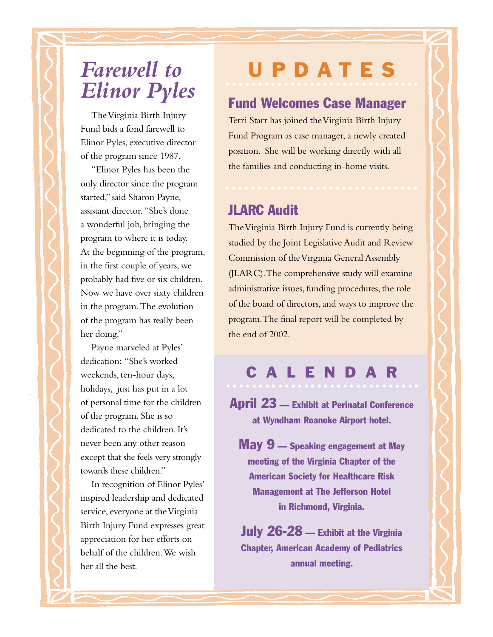# *Farewell to Elinor Pyles*

The Virginia Birth Injury Fund bids a fond farewell to Elinor Pyles, executive director of the program since 1987.

"Elinor Pyles has been the only director since the program started," said Sharon Payne, assistant director. "She's done a wonderful job, bringing the program to where it is today. At the beginning of the program, in the first couple of years, we probably had five or six children. Now we have over sixty children in the program.The evolution of the program has really been her doing."

Payne marveled at Pyles' dedication: "She's worked weekends, ten-hour days, holidays, just has put in a lot of personal time for the children of the program. She is so dedicated to the children. It's never been any other reason except that she feels very strongly towards these children."

In recognition of Elinor Pyles' inspired leadership and dedicated service, everyone at the Virginia Birth Injury Fund expresses great appreciation for her efforts on behalf of the children.We wish her all the best.

# UPDATES

### Fund Welcomes Case Manager

Terri Starr has joined the Virginia Birth Injury Fund Program as case manager, a newly created position. She will be working directly with all the families and conducting in-home visits.

### JLARC Audit

The Virginia Birth Injury Fund is currently being studied by the Joint Legislative Audit and Review Commission of the Virginia General Assembly (JLARC).The comprehensive study will examine administrative issues, funding procedures, the role of the board of directors, and ways to improve the program.The final report will be completed by the end of 2002.

# CALENDAR

April 23 — Exhibit at Perinatal Conference at Wyndham Roanoke Airport hotel.

May 9 — Speaking engagement at May meeting of the Virginia Chapter of the American Society for Healthcare Risk Management at The Jefferson Hotel in Richmond, Virginia.

July 26-28 — Exhibit at the Virginia Chapter, American Academy of Pediatrics annual meeting.